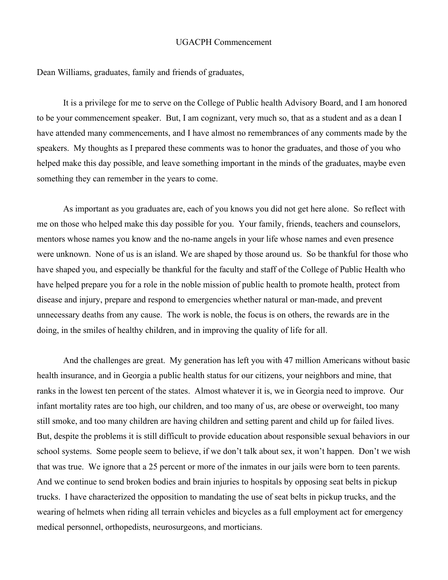## UGACPH Commencement

Dean Williams, graduates, family and friends of graduates,

It is a privilege for me to serve on the College of Public health Advisory Board, and I am honored to be your commencement speaker. But, I am cognizant, very much so, that as a student and as a dean I have attended many commencements, and I have almost no remembrances of any comments made by the speakers. My thoughts as I prepared these comments was to honor the graduates, and those of you who helped make this day possible, and leave something important in the minds of the graduates, maybe even something they can remember in the years to come.

As important as you graduates are, each of you knows you did not get here alone. So reflect with me on those who helped make this day possible for you. Your family, friends, teachers and counselors, mentors whose names you know and the no-name angels in your life whose names and even presence were unknown. None of us is an island. We are shaped by those around us. So be thankful for those who have shaped you, and especially be thankful for the faculty and staff of the College of Public Health who have helped prepare you for a role in the noble mission of public health to promote health, protect from disease and injury, prepare and respond to emergencies whether natural or man-made, and prevent unnecessary deaths from any cause. The work is noble, the focus is on others, the rewards are in the doing, in the smiles of healthy children, and in improving the quality of life for all.

And the challenges are great. My generation has left you with 47 million Americans without basic health insurance, and in Georgia a public health status for our citizens, your neighbors and mine, that ranks in the lowest ten percent of the states. Almost whatever it is, we in Georgia need to improve. Our infant mortality rates are too high, our children, and too many of us, are obese or overweight, too many still smoke, and too many children are having children and setting parent and child up for failed lives. But, despite the problems it is still difficult to provide education about responsible sexual behaviors in our school systems. Some people seem to believe, if we don't talk about sex, it won't happen. Don't we wish that was true. We ignore that a 25 percent or more of the inmates in our jails were born to teen parents. And we continue to send broken bodies and brain injuries to hospitals by opposing seat belts in pickup trucks. I have characterized the opposition to mandating the use of seat belts in pickup trucks, and the wearing of helmets when riding all terrain vehicles and bicycles as a full employment act for emergency medical personnel, orthopedists, neurosurgeons, and morticians.